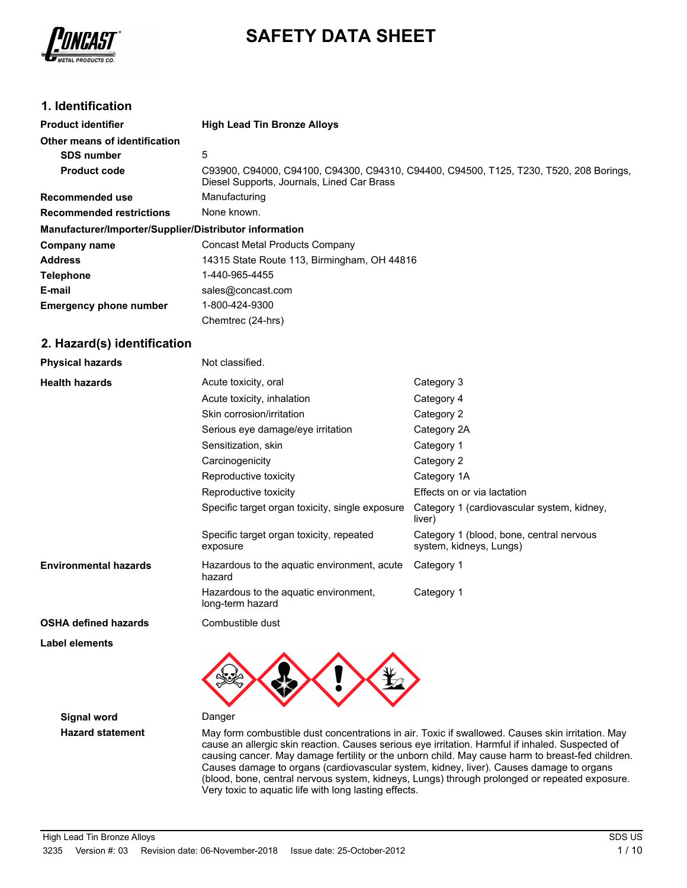

# **SAFETY DATA SHEET**

### **1. Identification**

| <b>Product identifier</b>                              | <b>High Lead Tin Bronze Alloys</b>                                                                                                   |
|--------------------------------------------------------|--------------------------------------------------------------------------------------------------------------------------------------|
| Other means of identification                          |                                                                                                                                      |
| <b>SDS number</b>                                      | 5                                                                                                                                    |
| <b>Product code</b>                                    | C93900, C94000, C94100, C94300, C94310, C94400, C94500, T125, T230, T520, 208 Borings,<br>Diesel Supports, Journals, Lined Car Brass |
| Recommended use                                        | Manufacturing                                                                                                                        |
| <b>Recommended restrictions</b>                        | None known.                                                                                                                          |
| Manufacturer/Importer/Supplier/Distributor information |                                                                                                                                      |
| Company name                                           | <b>Concast Metal Products Company</b>                                                                                                |
| <b>Address</b>                                         | 14315 State Route 113, Birmingham, OH 44816                                                                                          |
| <b>Telephone</b>                                       | 1-440-965-4455                                                                                                                       |
| E-mail                                                 | sales@concast.com                                                                                                                    |
| <b>Emergency phone number</b>                          | 1-800-424-9300                                                                                                                       |
|                                                        | Chemtrec (24-hrs)                                                                                                                    |

### **2. Hazard(s) identification**

| <b>Physical hazards</b>      | Not classified.                                           |                                                                     |
|------------------------------|-----------------------------------------------------------|---------------------------------------------------------------------|
| <b>Health hazards</b>        | Acute toxicity, oral                                      | Category 3                                                          |
|                              | Acute toxicity, inhalation                                | Category 4                                                          |
|                              | Skin corrosion/irritation                                 | Category 2                                                          |
|                              | Serious eye damage/eye irritation                         | Category 2A                                                         |
|                              | Sensitization, skin                                       | Category 1                                                          |
|                              | Carcinogenicity                                           | Category 2                                                          |
|                              | Reproductive toxicity                                     | Category 1A                                                         |
|                              | Reproductive toxicity                                     | Effects on or via lactation                                         |
|                              | Specific target organ toxicity, single exposure           | Category 1 (cardiovascular system, kidney,<br>liver)                |
|                              | Specific target organ toxicity, repeated<br>exposure      | Category 1 (blood, bone, central nervous<br>system, kidneys, Lungs) |
| <b>Environmental hazards</b> | Hazardous to the aquatic environment, acute<br>hazard     | Category 1                                                          |
|                              | Hazardous to the aquatic environment,<br>long-term hazard | Category 1                                                          |
| <b>OSHA defined hazards</b>  | Combustible dust                                          |                                                                     |

**Label elements**

**Signal word** Danger



**Hazard statement** May form combustible dust concentrations in air. Toxic if swallowed. Causes skin irritation. May cause an allergic skin reaction. Causes serious eye irritation. Harmful if inhaled. Suspected of causing cancer. May damage fertility or the unborn child. May cause harm to breast-fed children. Causes damage to organs (cardiovascular system, kidney, liver). Causes damage to organs (blood, bone, central nervous system, kidneys, Lungs) through prolonged or repeated exposure. Very toxic to aquatic life with long lasting effects.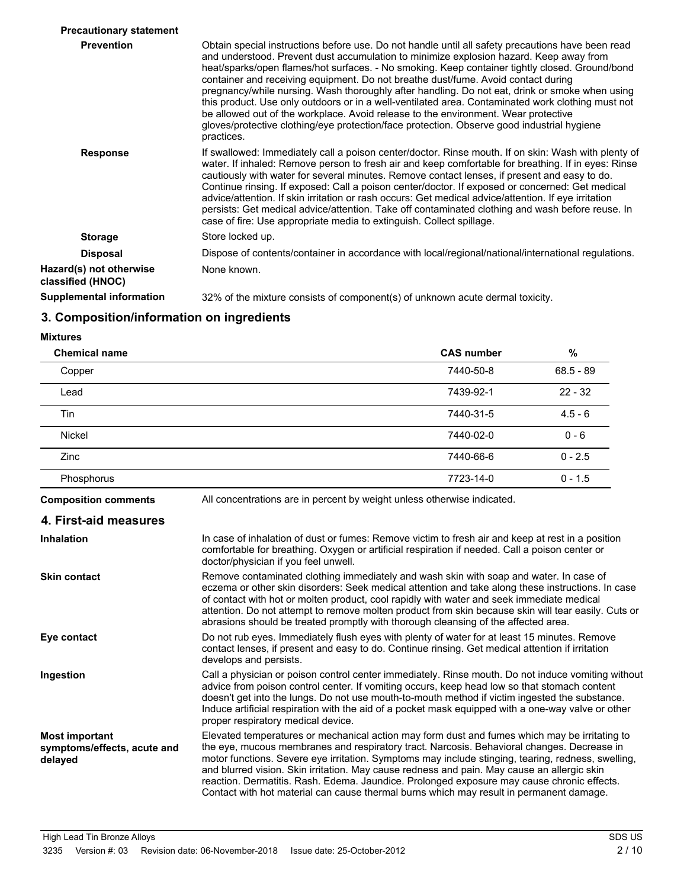| <b>Precautionary statement</b>               |                                                                                                                                                                                                                                                                                                                                                                                                                                                                                                                                                                                                                                                                                                                                                                                             |
|----------------------------------------------|---------------------------------------------------------------------------------------------------------------------------------------------------------------------------------------------------------------------------------------------------------------------------------------------------------------------------------------------------------------------------------------------------------------------------------------------------------------------------------------------------------------------------------------------------------------------------------------------------------------------------------------------------------------------------------------------------------------------------------------------------------------------------------------------|
| <b>Prevention</b>                            | Obtain special instructions before use. Do not handle until all safety precautions have been read<br>and understood. Prevent dust accumulation to minimize explosion hazard. Keep away from<br>heat/sparks/open flames/hot surfaces. - No smoking. Keep container tightly closed. Ground/bond<br>container and receiving equipment. Do not breathe dust/fume. Avoid contact during<br>pregnancy/while nursing. Wash thoroughly after handling. Do not eat, drink or smoke when using<br>this product. Use only outdoors or in a well-ventilated area. Contaminated work clothing must not<br>be allowed out of the workplace. Avoid release to the environment. Wear protective<br>gloves/protective clothing/eye protection/face protection. Observe good industrial hygiene<br>practices. |
| <b>Response</b>                              | If swallowed: Immediately call a poison center/doctor. Rinse mouth. If on skin: Wash with plenty of<br>water. If inhaled: Remove person to fresh air and keep comfortable for breathing. If in eyes: Rinse<br>cautiously with water for several minutes. Remove contact lenses, if present and easy to do.<br>Continue rinsing. If exposed: Call a poison center/doctor. If exposed or concerned: Get medical<br>advice/attention. If skin irritation or rash occurs: Get medical advice/attention. If eye irritation<br>persists: Get medical advice/attention. Take off contaminated clothing and wash before reuse. In<br>case of fire: Use appropriate media to extinguish. Collect spillage.                                                                                           |
| <b>Storage</b>                               | Store locked up.                                                                                                                                                                                                                                                                                                                                                                                                                                                                                                                                                                                                                                                                                                                                                                            |
| <b>Disposal</b>                              | Dispose of contents/container in accordance with local/regional/national/international regulations.                                                                                                                                                                                                                                                                                                                                                                                                                                                                                                                                                                                                                                                                                         |
| Hazard(s) not otherwise<br>classified (HNOC) | None known.                                                                                                                                                                                                                                                                                                                                                                                                                                                                                                                                                                                                                                                                                                                                                                                 |
| Supplemental information                     | 32% of the mixture consists of component(s) of unknown acute dermal toxicity.                                                                                                                                                                                                                                                                                                                                                                                                                                                                                                                                                                                                                                                                                                               |

## **3. Composition/information on ingredients**

#### **Mixtures**

| <b>Chemical name</b>                                            |                                                                                                                                                                                                                                                                                                                                                                                                                                                                                                                                                                                           | <b>CAS number</b> | %           |
|-----------------------------------------------------------------|-------------------------------------------------------------------------------------------------------------------------------------------------------------------------------------------------------------------------------------------------------------------------------------------------------------------------------------------------------------------------------------------------------------------------------------------------------------------------------------------------------------------------------------------------------------------------------------------|-------------------|-------------|
| Copper                                                          |                                                                                                                                                                                                                                                                                                                                                                                                                                                                                                                                                                                           | 7440-50-8         | $68.5 - 89$ |
| Lead                                                            |                                                                                                                                                                                                                                                                                                                                                                                                                                                                                                                                                                                           | 7439-92-1         | $22 - 32$   |
| Tin                                                             |                                                                                                                                                                                                                                                                                                                                                                                                                                                                                                                                                                                           | 7440-31-5         | $4.5 - 6$   |
| <b>Nickel</b>                                                   |                                                                                                                                                                                                                                                                                                                                                                                                                                                                                                                                                                                           | 7440-02-0         | $0 - 6$     |
| Zinc                                                            |                                                                                                                                                                                                                                                                                                                                                                                                                                                                                                                                                                                           | 7440-66-6         | $0 - 2.5$   |
| Phosphorus                                                      |                                                                                                                                                                                                                                                                                                                                                                                                                                                                                                                                                                                           | 7723-14-0         | $0 - 1.5$   |
| <b>Composition comments</b>                                     | All concentrations are in percent by weight unless otherwise indicated.                                                                                                                                                                                                                                                                                                                                                                                                                                                                                                                   |                   |             |
| 4. First-aid measures                                           |                                                                                                                                                                                                                                                                                                                                                                                                                                                                                                                                                                                           |                   |             |
| <b>Inhalation</b>                                               | In case of inhalation of dust or fumes: Remove victim to fresh air and keep at rest in a position<br>comfortable for breathing. Oxygen or artificial respiration if needed. Call a poison center or<br>doctor/physician if you feel unwell.                                                                                                                                                                                                                                                                                                                                               |                   |             |
| <b>Skin contact</b>                                             | Remove contaminated clothing immediately and wash skin with soap and water. In case of<br>eczema or other skin disorders: Seek medical attention and take along these instructions. In case<br>of contact with hot or molten product, cool rapidly with water and seek immediate medical<br>attention. Do not attempt to remove molten product from skin because skin will tear easily. Cuts or<br>abrasions should be treated promptly with thorough cleansing of the affected area.                                                                                                     |                   |             |
| Eye contact                                                     | Do not rub eyes. Immediately flush eyes with plenty of water for at least 15 minutes. Remove<br>contact lenses, if present and easy to do. Continue rinsing. Get medical attention if irritation<br>develops and persists.                                                                                                                                                                                                                                                                                                                                                                |                   |             |
| Ingestion                                                       | Call a physician or poison control center immediately. Rinse mouth. Do not induce vomiting without<br>advice from poison control center. If vomiting occurs, keep head low so that stomach content<br>doesn't get into the lungs. Do not use mouth-to-mouth method if victim ingested the substance.<br>Induce artificial respiration with the aid of a pocket mask equipped with a one-way valve or other<br>proper respiratory medical device.                                                                                                                                          |                   |             |
| <b>Most important</b><br>symptoms/effects, acute and<br>delayed | Elevated temperatures or mechanical action may form dust and fumes which may be irritating to<br>the eye, mucous membranes and respiratory tract. Narcosis. Behavioral changes. Decrease in<br>motor functions. Severe eye irritation. Symptoms may include stinging, tearing, redness, swelling,<br>and blurred vision. Skin irritation. May cause redness and pain. May cause an allergic skin<br>reaction. Dermatitis. Rash. Edema. Jaundice. Prolonged exposure may cause chronic effects.<br>Contact with hot material can cause thermal burns which may result in permanent damage. |                   |             |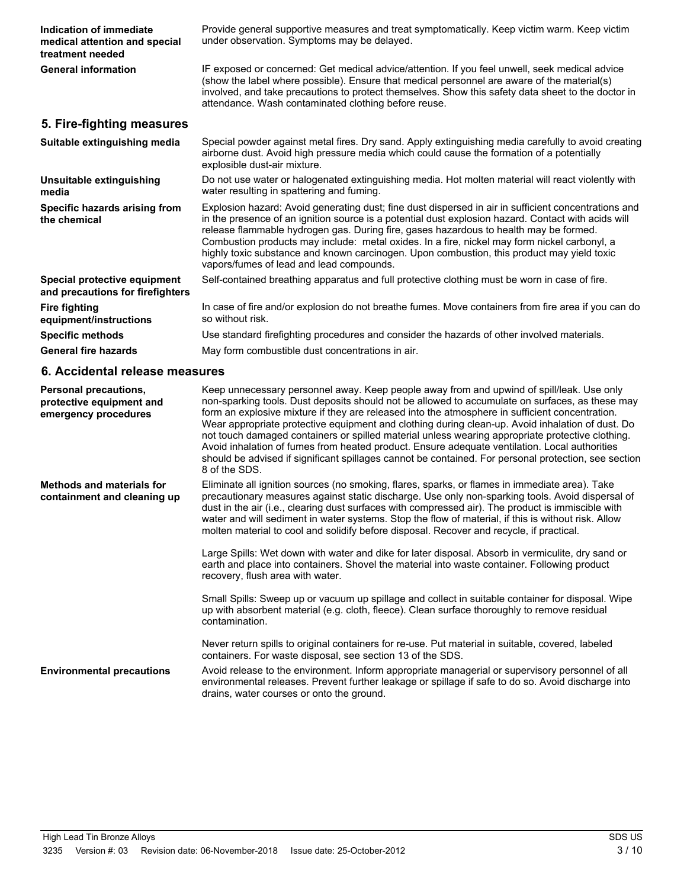| Indication of immediate<br>medical attention and special<br>treatment needed | Provide general supportive measures and treat symptomatically. Keep victim warm. Keep victim<br>under observation. Symptoms may be delayed.                                                                                                                                                                                                                                                                                                                                                                                                                                                                                                                                                                                       |
|------------------------------------------------------------------------------|-----------------------------------------------------------------------------------------------------------------------------------------------------------------------------------------------------------------------------------------------------------------------------------------------------------------------------------------------------------------------------------------------------------------------------------------------------------------------------------------------------------------------------------------------------------------------------------------------------------------------------------------------------------------------------------------------------------------------------------|
| <b>General information</b>                                                   | IF exposed or concerned: Get medical advice/attention. If you feel unwell, seek medical advice<br>(show the label where possible). Ensure that medical personnel are aware of the material(s)<br>involved, and take precautions to protect themselves. Show this safety data sheet to the doctor in<br>attendance. Wash contaminated clothing before reuse.                                                                                                                                                                                                                                                                                                                                                                       |
| 5. Fire-fighting measures                                                    |                                                                                                                                                                                                                                                                                                                                                                                                                                                                                                                                                                                                                                                                                                                                   |
| Suitable extinguishing media                                                 | Special powder against metal fires. Dry sand. Apply extinguishing media carefully to avoid creating<br>airborne dust. Avoid high pressure media which could cause the formation of a potentially<br>explosible dust-air mixture.                                                                                                                                                                                                                                                                                                                                                                                                                                                                                                  |
| Unsuitable extinguishing<br>media                                            | Do not use water or halogenated extinguishing media. Hot molten material will react violently with<br>water resulting in spattering and fuming.                                                                                                                                                                                                                                                                                                                                                                                                                                                                                                                                                                                   |
| Specific hazards arising from<br>the chemical                                | Explosion hazard: Avoid generating dust; fine dust dispersed in air in sufficient concentrations and<br>in the presence of an ignition source is a potential dust explosion hazard. Contact with acids will<br>release flammable hydrogen gas. During fire, gases hazardous to health may be formed.<br>Combustion products may include: metal oxides. In a fire, nickel may form nickel carbonyl, a<br>highly toxic substance and known carcinogen. Upon combustion, this product may yield toxic<br>vapors/fumes of lead and lead compounds.                                                                                                                                                                                    |
| Special protective equipment<br>and precautions for firefighters             | Self-contained breathing apparatus and full protective clothing must be worn in case of fire.                                                                                                                                                                                                                                                                                                                                                                                                                                                                                                                                                                                                                                     |
| <b>Fire fighting</b><br>equipment/instructions                               | In case of fire and/or explosion do not breathe fumes. Move containers from fire area if you can do<br>so without risk.                                                                                                                                                                                                                                                                                                                                                                                                                                                                                                                                                                                                           |
| <b>Specific methods</b>                                                      | Use standard firefighting procedures and consider the hazards of other involved materials.                                                                                                                                                                                                                                                                                                                                                                                                                                                                                                                                                                                                                                        |
| <b>General fire hazards</b>                                                  | May form combustible dust concentrations in air.                                                                                                                                                                                                                                                                                                                                                                                                                                                                                                                                                                                                                                                                                  |
|                                                                              |                                                                                                                                                                                                                                                                                                                                                                                                                                                                                                                                                                                                                                                                                                                                   |
| 6. Accidental release measures                                               |                                                                                                                                                                                                                                                                                                                                                                                                                                                                                                                                                                                                                                                                                                                                   |
| Personal precautions,<br>protective equipment and<br>emergency procedures    | Keep unnecessary personnel away. Keep people away from and upwind of spill/leak. Use only<br>non-sparking tools. Dust deposits should not be allowed to accumulate on surfaces, as these may<br>form an explosive mixture if they are released into the atmosphere in sufficient concentration.<br>Wear appropriate protective equipment and clothing during clean-up. Avoid inhalation of dust. Do<br>not touch damaged containers or spilled material unless wearing appropriate protective clothing.<br>Avoid inhalation of fumes from heated product. Ensure adequate ventilation. Local authorities<br>should be advised if significant spillages cannot be contained. For personal protection, see section<br>8 of the SDS. |
| <b>Methods and materials for</b><br>containment and cleaning up              | Eliminate all ignition sources (no smoking, flares, sparks, or flames in immediate area). Take<br>precautionary measures against static discharge. Use only non-sparking tools. Avoid dispersal of<br>dust in the air (i.e., clearing dust surfaces with compressed air). The product is immiscible with<br>water and will sediment in water systems. Stop the flow of material, if this is without risk. Allow<br>molten material to cool and solidify before disposal. Recover and recycle, if practical.                                                                                                                                                                                                                       |
|                                                                              | Large Spills: Wet down with water and dike for later disposal. Absorb in vermiculite, dry sand or<br>earth and place into containers. Shovel the material into waste container. Following product<br>recovery, flush area with water.                                                                                                                                                                                                                                                                                                                                                                                                                                                                                             |
|                                                                              | Small Spills: Sweep up or vacuum up spillage and collect in suitable container for disposal. Wipe<br>up with absorbent material (e.g. cloth, fleece). Clean surface thoroughly to remove residual<br>contamination.                                                                                                                                                                                                                                                                                                                                                                                                                                                                                                               |
|                                                                              | Never return spills to original containers for re-use. Put material in suitable, covered, labeled<br>containers. For waste disposal, see section 13 of the SDS.                                                                                                                                                                                                                                                                                                                                                                                                                                                                                                                                                                   |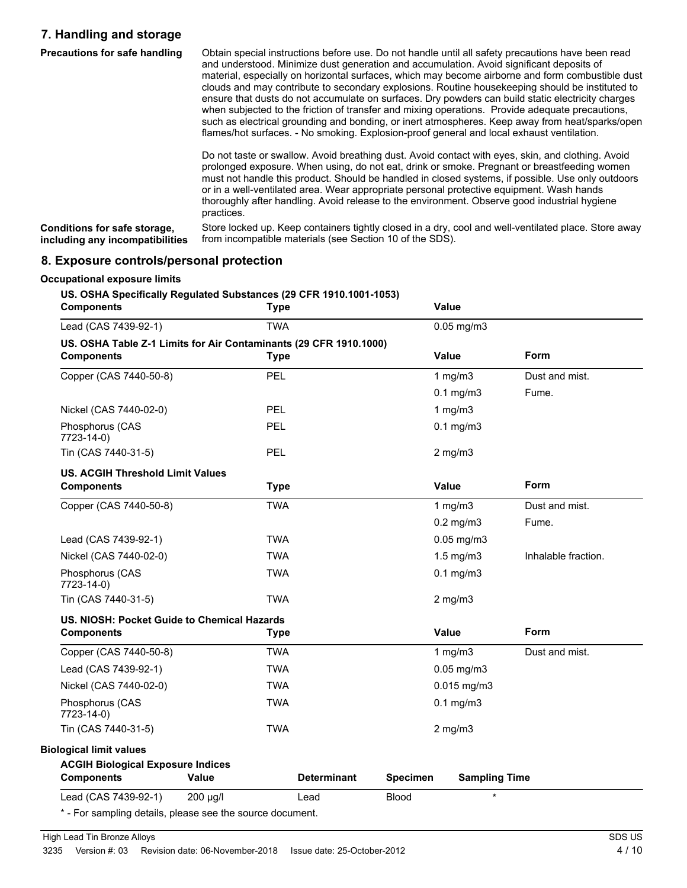### **7. Handling and storage**

| <b>Precautions for safe handling</b> | Obtain special instructions before use. Do not handle until all safety precautions have been read<br>and understood. Minimize dust generation and accumulation. Avoid significant deposits of<br>material, especially on horizontal surfaces, which may become airborne and form combustible dust<br>clouds and may contribute to secondary explosions. Routine housekeeping should be instituted to<br>ensure that dusts do not accumulate on surfaces. Dry powders can build static electricity charges<br>when subjected to the friction of transfer and mixing operations. Provide adequate precautions,<br>such as electrical grounding and bonding, or inert atmospheres. Keep away from heat/sparks/open<br>flames/hot surfaces. - No smoking. Explosion-proof general and local exhaust ventilation. |
|--------------------------------------|--------------------------------------------------------------------------------------------------------------------------------------------------------------------------------------------------------------------------------------------------------------------------------------------------------------------------------------------------------------------------------------------------------------------------------------------------------------------------------------------------------------------------------------------------------------------------------------------------------------------------------------------------------------------------------------------------------------------------------------------------------------------------------------------------------------|
|                                      | Do not taste or swallow. Avoid breathing dust. Avoid contact with eyes, skin, and clothing. Avoid<br>prolonged exposure. When using, do not eat, drink or smoke. Pregnant or breastfeeding women<br>must not handle this product. Should be handled in closed systems, if possible. Use only outdoors<br>or in a well-ventilated area. Wear appropriate personal protective equipment. Wash hands<br>thoroughly after handling. Avoid release to the environment. Observe good industrial hygiene<br>practices.                                                                                                                                                                                                                                                                                              |
| Canditiona for oafo atorono          | Store locked up. Keep containers tightly closed in a dry, cool and well ventilated place. Store away                                                                                                                                                                                                                                                                                                                                                                                                                                                                                                                                                                                                                                                                                                         |

Store locked up. Keep containers tightly closed in a dry, cool and well-ventilated place. Store away from incompatible materials (see Section 10 of the SDS). **Conditions for safe storage, including any incompatibilities**

### **8. Exposure controls/personal protection**

| <b>Components</b>                                                 | <b>Type</b> |                    |                 | Value                |                     |
|-------------------------------------------------------------------|-------------|--------------------|-----------------|----------------------|---------------------|
| Lead (CAS 7439-92-1)                                              | <b>TWA</b>  |                    |                 | $0.05$ mg/m $3$      |                     |
| US. OSHA Table Z-1 Limits for Air Contaminants (29 CFR 1910.1000) |             |                    |                 | Value                | Form                |
| <b>Components</b>                                                 | <b>Type</b> |                    |                 |                      |                     |
| Copper (CAS 7440-50-8)                                            | PEL         |                    |                 | 1 $mg/m3$            | Dust and mist.      |
|                                                                   |             |                    |                 | $0.1$ mg/m $3$       | Fume.               |
| Nickel (CAS 7440-02-0)                                            | <b>PEL</b>  |                    |                 | 1 $mg/m3$            |                     |
| Phosphorus (CAS<br>7723-14-0)                                     | PEL         |                    |                 | $0.1$ mg/m $3$       |                     |
| Tin (CAS 7440-31-5)                                               | <b>PEL</b>  |                    |                 | $2$ mg/m $3$         |                     |
| <b>US. ACGIH Threshold Limit Values</b>                           |             |                    |                 |                      |                     |
| <b>Components</b>                                                 | <b>Type</b> |                    |                 | Value                | Form                |
| Copper (CAS 7440-50-8)                                            | <b>TWA</b>  |                    |                 | 1 $mg/m3$            | Dust and mist.      |
|                                                                   |             |                    |                 | $0.2$ mg/m $3$       | Fume.               |
| Lead (CAS 7439-92-1)                                              | <b>TWA</b>  |                    |                 | $0.05$ mg/m $3$      |                     |
| Nickel (CAS 7440-02-0)                                            | <b>TWA</b>  |                    |                 | $1.5$ mg/m $3$       | Inhalable fraction. |
| Phosphorus (CAS<br>7723-14-0)                                     | <b>TWA</b>  |                    |                 | $0.1$ mg/m $3$       |                     |
| Tin (CAS 7440-31-5)                                               | <b>TWA</b>  |                    |                 | $2$ mg/m $3$         |                     |
| US. NIOSH: Pocket Guide to Chemical Hazards                       |             |                    |                 |                      |                     |
| <b>Components</b>                                                 | <b>Type</b> |                    |                 | Value                | Form                |
| Copper (CAS 7440-50-8)                                            | <b>TWA</b>  |                    |                 | 1 $mg/m3$            | Dust and mist.      |
| Lead (CAS 7439-92-1)                                              | <b>TWA</b>  |                    |                 | $0.05$ mg/m $3$      |                     |
| Nickel (CAS 7440-02-0)                                            | <b>TWA</b>  |                    |                 | $0.015$ mg/m3        |                     |
| Phosphorus (CAS<br>7723-14-0)                                     | <b>TWA</b>  |                    |                 | $0.1$ mg/m $3$       |                     |
| Tin (CAS 7440-31-5)                                               | <b>TWA</b>  |                    |                 | $2$ mg/m $3$         |                     |
| <b>Biological limit values</b>                                    |             |                    |                 |                      |                     |
| <b>ACGIH Biological Exposure Indices</b><br><b>Components</b>     | Value       | <b>Determinant</b> | <b>Specimen</b> | <b>Sampling Time</b> |                     |
| Lead (CAS 7439-92-1)                                              | 200 µg/l    | Lead               | <b>Blood</b>    | $\star$              |                     |
| * - For sampling details, please see the source document.         |             |                    |                 |                      |                     |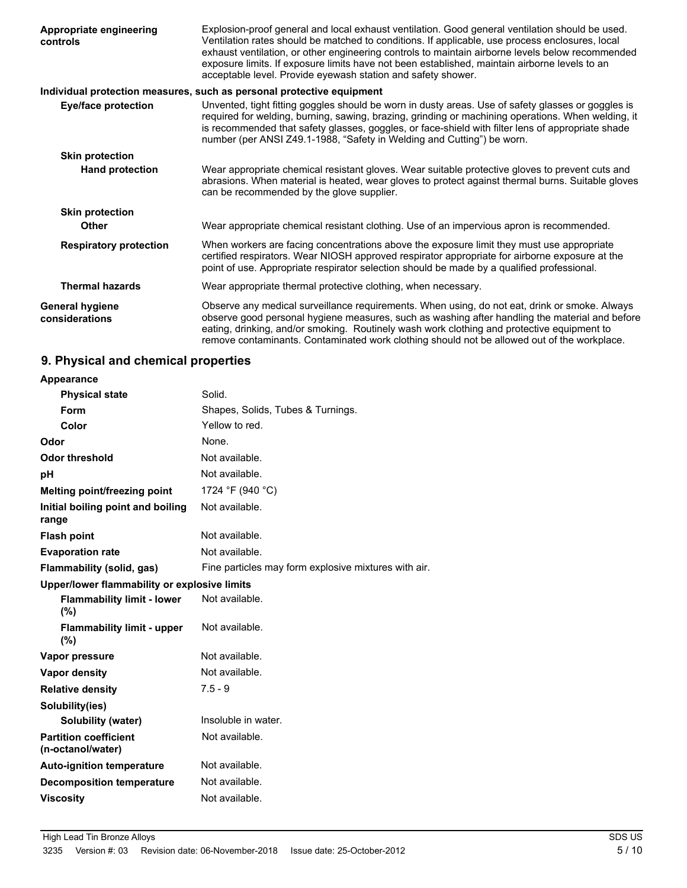| Appropriate engineering<br>controls      | Explosion-proof general and local exhaust ventilation. Good general ventilation should be used.<br>Ventilation rates should be matched to conditions. If applicable, use process enclosures, local<br>exhaust ventilation, or other engineering controls to maintain airborne levels below recommended<br>exposure limits. If exposure limits have not been established, maintain airborne levels to an<br>acceptable level. Provide eyewash station and safety shower. |
|------------------------------------------|-------------------------------------------------------------------------------------------------------------------------------------------------------------------------------------------------------------------------------------------------------------------------------------------------------------------------------------------------------------------------------------------------------------------------------------------------------------------------|
|                                          | Individual protection measures, such as personal protective equipment                                                                                                                                                                                                                                                                                                                                                                                                   |
| <b>Eye/face protection</b>               | Unvented, tight fitting goggles should be worn in dusty areas. Use of safety glasses or goggles is<br>required for welding, burning, sawing, brazing, grinding or machining operations. When welding, it<br>is recommended that safety glasses, goggles, or face-shield with filter lens of appropriate shade<br>number (per ANSI Z49.1-1988, "Safety in Welding and Cutting") be worn.                                                                                 |
| <b>Skin protection</b>                   |                                                                                                                                                                                                                                                                                                                                                                                                                                                                         |
| <b>Hand protection</b>                   | Wear appropriate chemical resistant gloves. Wear suitable protective gloves to prevent cuts and<br>abrasions. When material is heated, wear gloves to protect against thermal burns. Suitable gloves<br>can be recommended by the glove supplier.                                                                                                                                                                                                                       |
| <b>Skin protection</b>                   |                                                                                                                                                                                                                                                                                                                                                                                                                                                                         |
| Other                                    | Wear appropriate chemical resistant clothing. Use of an impervious apron is recommended.                                                                                                                                                                                                                                                                                                                                                                                |
| <b>Respiratory protection</b>            | When workers are facing concentrations above the exposure limit they must use appropriate<br>certified respirators. Wear NIOSH approved respirator appropriate for airborne exposure at the<br>point of use. Appropriate respirator selection should be made by a qualified professional.                                                                                                                                                                               |
| <b>Thermal hazards</b>                   | Wear appropriate thermal protective clothing, when necessary.                                                                                                                                                                                                                                                                                                                                                                                                           |
| <b>General hygiene</b><br>considerations | Observe any medical surveillance requirements. When using, do not eat, drink or smoke. Always<br>observe good personal hygiene measures, such as washing after handling the material and before<br>eating, drinking, and/or smoking. Routinely wash work clothing and protective equipment to<br>remove contaminants. Contaminated work clothing should not be allowed out of the workplace.                                                                            |

### **9. Physical and chemical properties**

| <b>Appearance</b>                                 |                                                      |
|---------------------------------------------------|------------------------------------------------------|
| <b>Physical state</b>                             | Solid.                                               |
| Form                                              | Shapes, Solids, Tubes & Turnings.                    |
| Color                                             | Yellow to red.                                       |
| Odor                                              | None.                                                |
| Odor threshold                                    | Not available.                                       |
| рH                                                | Not available.                                       |
| Melting point/freezing point                      | 1724 °F (940 °C)                                     |
| Initial boiling point and boiling<br>range        | Not available.                                       |
| <b>Flash point</b>                                | Not available.                                       |
| <b>Evaporation rate</b>                           | Not available.                                       |
| Flammability (solid, gas)                         | Fine particles may form explosive mixtures with air. |
| Upper/lower flammability or explosive limits      |                                                      |
| <b>Flammability limit - lower</b><br>(%)          | Not available.                                       |
| <b>Flammability limit - upper</b><br>(%)          | Not available.                                       |
| Vapor pressure                                    | Not available.                                       |
| <b>Vapor density</b>                              | Not available.                                       |
| <b>Relative density</b>                           | $7.5 - 9$                                            |
| Solubility(ies)                                   |                                                      |
| Solubility (water)                                | Insoluble in water.                                  |
| <b>Partition coefficient</b><br>(n-octanol/water) | Not available.                                       |
| <b>Auto-ignition temperature</b>                  | Not available.                                       |
| <b>Decomposition temperature</b>                  | Not available.                                       |
| <b>Viscosity</b>                                  | Not available.                                       |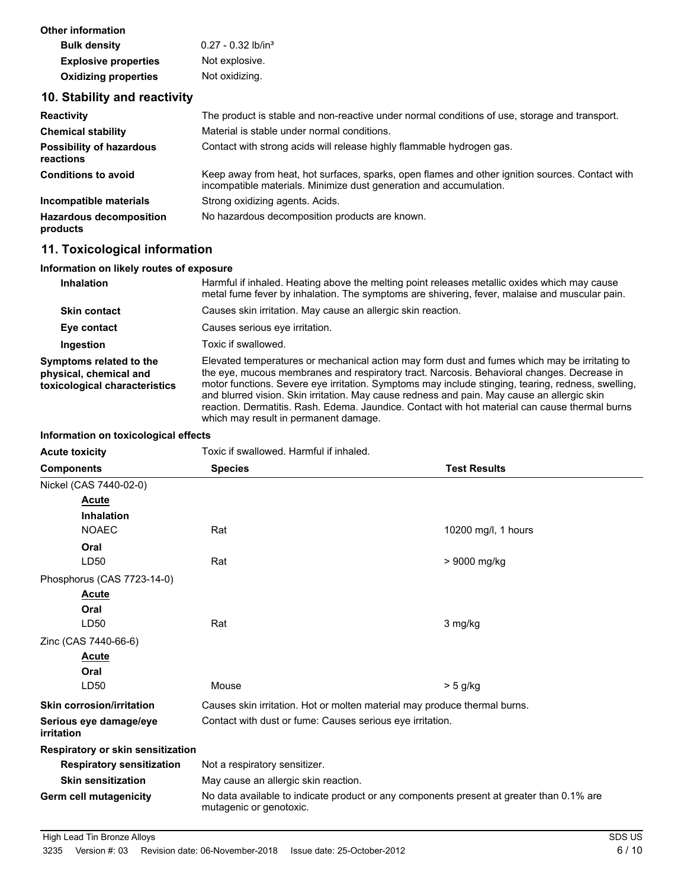| Other information           |                                  |
|-----------------------------|----------------------------------|
| <b>Bulk density</b>         | $0.27 - 0.32$ lb/in <sup>3</sup> |
| <b>Explosive properties</b> | Not explosive.                   |
| <b>Oxidizing properties</b> | Not oxidizing.                   |

### **10. Stability and reactivity**

| <b>Reactivity</b>                            | The product is stable and non-reactive under normal conditions of use, storage and transport.                                                                         |
|----------------------------------------------|-----------------------------------------------------------------------------------------------------------------------------------------------------------------------|
| <b>Chemical stability</b>                    | Material is stable under normal conditions.                                                                                                                           |
| <b>Possibility of hazardous</b><br>reactions | Contact with strong acids will release highly flammable hydrogen gas.                                                                                                 |
| <b>Conditions to avoid</b>                   | Keep away from heat, hot surfaces, sparks, open flames and other ignition sources. Contact with<br>incompatible materials. Minimize dust generation and accumulation. |
| Incompatible materials                       | Strong oxidizing agents. Acids.                                                                                                                                       |
| <b>Hazardous decomposition</b><br>products   | No hazardous decomposition products are known.                                                                                                                        |

### **11. Toxicological information**

#### **Information on likely routes of exposure**

| <b>Inhalation</b>                                                                  | Harmful if inhaled. Heating above the melting point releases metallic oxides which may cause<br>metal fume fever by inhalation. The symptoms are shivering, fever, malaise and muscular pain.                                                                                                                                                                                                                                                                                                                                               |
|------------------------------------------------------------------------------------|---------------------------------------------------------------------------------------------------------------------------------------------------------------------------------------------------------------------------------------------------------------------------------------------------------------------------------------------------------------------------------------------------------------------------------------------------------------------------------------------------------------------------------------------|
| <b>Skin contact</b>                                                                | Causes skin irritation. May cause an allergic skin reaction.                                                                                                                                                                                                                                                                                                                                                                                                                                                                                |
| Eye contact                                                                        | Causes serious eye irritation.                                                                                                                                                                                                                                                                                                                                                                                                                                                                                                              |
| Ingestion                                                                          | Toxic if swallowed.                                                                                                                                                                                                                                                                                                                                                                                                                                                                                                                         |
| Symptoms related to the<br>physical, chemical and<br>toxicological characteristics | Elevated temperatures or mechanical action may form dust and fumes which may be irritating to<br>the eye, mucous membranes and respiratory tract. Narcosis. Behavioral changes. Decrease in<br>motor functions. Severe eye irritation. Symptoms may include stinging, tearing, redness, swelling,<br>and blurred vision. Skin irritation. May cause redness and pain. May cause an allergic skin<br>reaction. Dermatitis. Rash. Edema. Jaundice. Contact with hot material can cause thermal burns<br>which may result in permanent damage. |

#### **Information on toxicological effects**

| <b>Acute toxicity</b>                | Toxic if swallowed. Harmful if inhaled.                                                                             |                     |
|--------------------------------------|---------------------------------------------------------------------------------------------------------------------|---------------------|
| <b>Components</b>                    | <b>Test Results</b><br><b>Species</b>                                                                               |                     |
| Nickel (CAS 7440-02-0)               |                                                                                                                     |                     |
| <b>Acute</b>                         |                                                                                                                     |                     |
| <b>Inhalation</b>                    |                                                                                                                     |                     |
| <b>NOAEC</b>                         | Rat                                                                                                                 | 10200 mg/l, 1 hours |
| Oral                                 |                                                                                                                     |                     |
| LD50                                 | Rat                                                                                                                 | > 9000 mg/kg        |
| Phosphorus (CAS 7723-14-0)           |                                                                                                                     |                     |
| Acute                                |                                                                                                                     |                     |
| Oral                                 |                                                                                                                     |                     |
| LD50                                 | Rat                                                                                                                 | 3 mg/kg             |
| Zinc (CAS 7440-66-6)                 |                                                                                                                     |                     |
| <b>Acute</b>                         |                                                                                                                     |                     |
| Oral                                 |                                                                                                                     |                     |
| LD50                                 | Mouse                                                                                                               | > 5 g/kg            |
| <b>Skin corrosion/irritation</b>     | Causes skin irritation. Hot or molten material may produce thermal burns.                                           |                     |
| Serious eye damage/eye<br>irritation | Contact with dust or fume: Causes serious eye irritation.                                                           |                     |
| Respiratory or skin sensitization    |                                                                                                                     |                     |
| <b>Respiratory sensitization</b>     | Not a respiratory sensitizer.                                                                                       |                     |
| <b>Skin sensitization</b>            | May cause an allergic skin reaction.                                                                                |                     |
| <b>Germ cell mutagenicity</b>        | No data available to indicate product or any components present at greater than 0.1% are<br>mutagenic or genotoxic. |                     |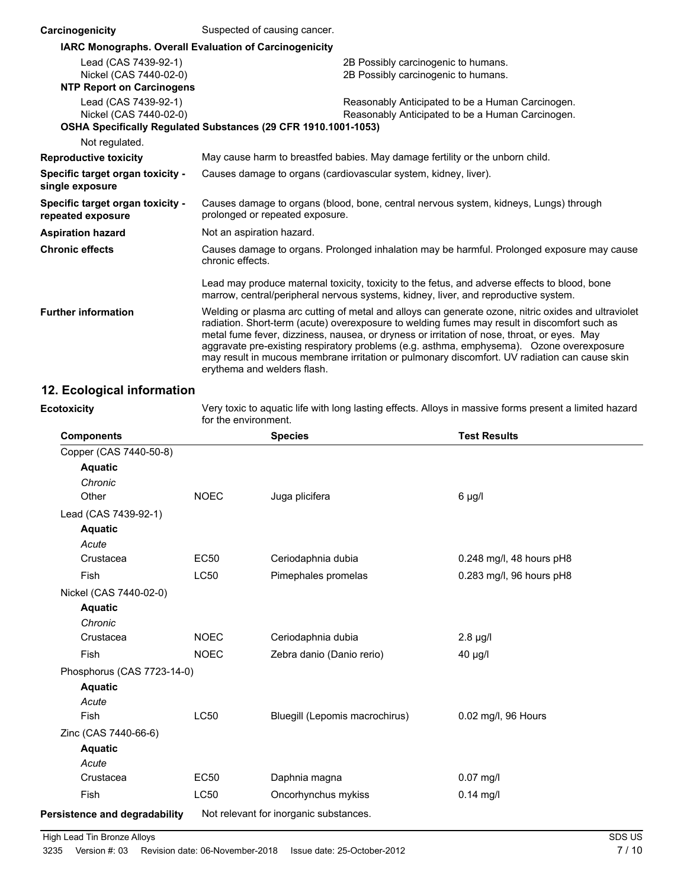| Carcinogenicity                                               | Suspected of causing cancer.                                                                                                                                                                                                                                                                                                                                                                                                                                                                                                   |  |
|---------------------------------------------------------------|--------------------------------------------------------------------------------------------------------------------------------------------------------------------------------------------------------------------------------------------------------------------------------------------------------------------------------------------------------------------------------------------------------------------------------------------------------------------------------------------------------------------------------|--|
| <b>IARC Monographs. Overall Evaluation of Carcinogenicity</b> |                                                                                                                                                                                                                                                                                                                                                                                                                                                                                                                                |  |
| Lead (CAS 7439-92-1)<br>Nickel (CAS 7440-02-0)                | 2B Possibly carcinogenic to humans.<br>2B Possibly carcinogenic to humans.                                                                                                                                                                                                                                                                                                                                                                                                                                                     |  |
| <b>NTP Report on Carcinogens</b>                              |                                                                                                                                                                                                                                                                                                                                                                                                                                                                                                                                |  |
| Lead (CAS 7439-92-1)<br>Nickel (CAS 7440-02-0)                | Reasonably Anticipated to be a Human Carcinogen.<br>Reasonably Anticipated to be a Human Carcinogen.                                                                                                                                                                                                                                                                                                                                                                                                                           |  |
|                                                               | OSHA Specifically Regulated Substances (29 CFR 1910.1001-1053)                                                                                                                                                                                                                                                                                                                                                                                                                                                                 |  |
| Not regulated.                                                |                                                                                                                                                                                                                                                                                                                                                                                                                                                                                                                                |  |
| <b>Reproductive toxicity</b>                                  | May cause harm to breastfed babies. May damage fertility or the unborn child.                                                                                                                                                                                                                                                                                                                                                                                                                                                  |  |
| Specific target organ toxicity -<br>single exposure           | Causes damage to organs (cardiovascular system, kidney, liver).                                                                                                                                                                                                                                                                                                                                                                                                                                                                |  |
| Specific target organ toxicity -<br>repeated exposure         | Causes damage to organs (blood, bone, central nervous system, kidneys, Lungs) through<br>prolonged or repeated exposure.                                                                                                                                                                                                                                                                                                                                                                                                       |  |
| <b>Aspiration hazard</b>                                      | Not an aspiration hazard.                                                                                                                                                                                                                                                                                                                                                                                                                                                                                                      |  |
| <b>Chronic effects</b>                                        | Causes damage to organs. Prolonged inhalation may be harmful. Prolonged exposure may cause<br>chronic effects.                                                                                                                                                                                                                                                                                                                                                                                                                 |  |
|                                                               | Lead may produce maternal toxicity, toxicity to the fetus, and adverse effects to blood, bone<br>marrow, central/peripheral nervous systems, kidney, liver, and reproductive system.                                                                                                                                                                                                                                                                                                                                           |  |
| <b>Further information</b>                                    | Welding or plasma arc cutting of metal and alloys can generate ozone, nitric oxides and ultraviolet<br>radiation. Short-term (acute) overexposure to welding fumes may result in discomfort such as<br>metal fume fever, dizziness, nausea, or dryness or irritation of nose, throat, or eyes. May<br>aggravate pre-existing respiratory problems (e.g. asthma, emphysema). Ozone overexposure<br>may result in mucous membrane irritation or pulmonary discomfort. UV radiation can cause skin<br>erythema and welders flash. |  |

### **12. Ecological information**

**Ecotoxicity**

Very toxic to aquatic life with long lasting effects. Alloys in massive forms present a limited hazard for the environment.

| <b>Components</b>             |             | <b>Species</b>                         | <b>Test Results</b>      |
|-------------------------------|-------------|----------------------------------------|--------------------------|
| Copper (CAS 7440-50-8)        |             |                                        |                          |
| <b>Aquatic</b>                |             |                                        |                          |
| Chronic                       |             |                                        |                          |
| Other                         | <b>NOEC</b> | Juga plicifera                         | $6 \mu g/l$              |
| Lead (CAS 7439-92-1)          |             |                                        |                          |
| <b>Aquatic</b>                |             |                                        |                          |
| Acute                         |             |                                        |                          |
| Crustacea                     | <b>EC50</b> | Ceriodaphnia dubia                     | 0.248 mg/l, 48 hours pH8 |
| <b>Fish</b>                   | <b>LC50</b> | Pimephales promelas                    | 0.283 mg/l, 96 hours pH8 |
| Nickel (CAS 7440-02-0)        |             |                                        |                          |
| <b>Aquatic</b>                |             |                                        |                          |
| Chronic                       |             |                                        |                          |
| Crustacea                     | <b>NOEC</b> | Ceriodaphnia dubia                     | $2.8 \mu g/l$            |
| Fish                          | <b>NOEC</b> | Zebra danio (Danio rerio)              | 40 µg/l                  |
| Phosphorus (CAS 7723-14-0)    |             |                                        |                          |
| <b>Aquatic</b>                |             |                                        |                          |
| Acute                         |             |                                        |                          |
| <b>Fish</b>                   | <b>LC50</b> | Bluegill (Lepomis macrochirus)         | 0.02 mg/l, 96 Hours      |
| Zinc (CAS 7440-66-6)          |             |                                        |                          |
| <b>Aquatic</b>                |             |                                        |                          |
| Acute                         |             |                                        |                          |
| Crustacea                     | <b>EC50</b> | Daphnia magna                          | $0.07$ mg/l              |
| Fish                          | <b>LC50</b> | Oncorhynchus mykiss                    | $0.14$ mg/l              |
| Persistence and degradability |             | Not relevant for inorganic substances. |                          |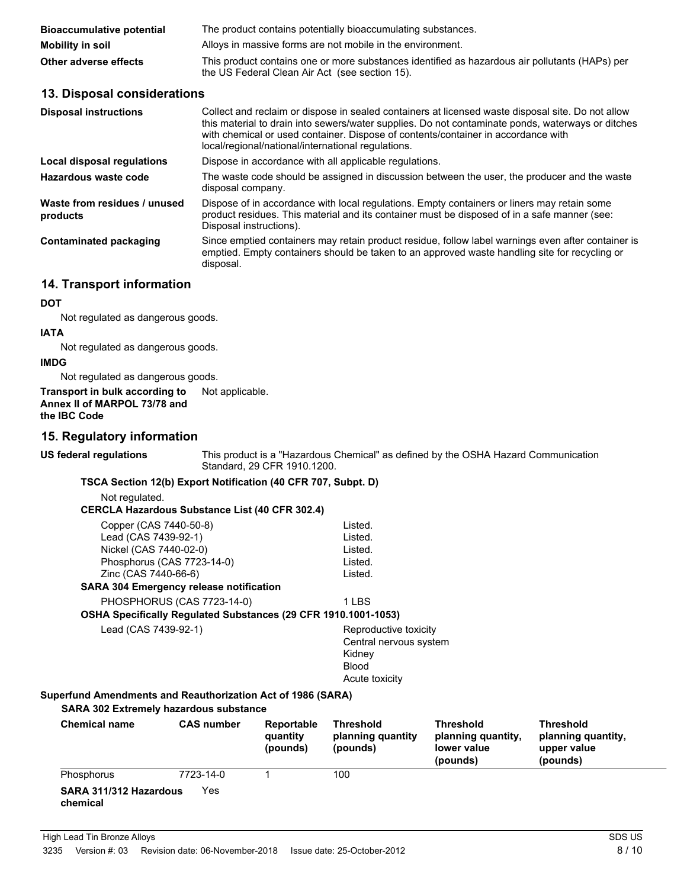| <b>Bioaccumulative potential</b> | The product contains potentially bioaccumulating substances.                                                                                     |
|----------------------------------|--------------------------------------------------------------------------------------------------------------------------------------------------|
| Mobility in soil                 | Alloys in massive forms are not mobile in the environment.                                                                                       |
| Other adverse effects            | This product contains one or more substances identified as hazardous air pollutants (HAPs) per<br>the US Federal Clean Air Act (see section 15). |

### **13. Disposal considerations**

| <b>Disposal instructions</b>             | Collect and reclaim or dispose in sealed containers at licensed waste disposal site. Do not allow<br>this material to drain into sewers/water supplies. Do not contaminate ponds, waterways or ditches<br>with chemical or used container. Dispose of contents/container in accordance with<br>local/regional/national/international regulations. |
|------------------------------------------|---------------------------------------------------------------------------------------------------------------------------------------------------------------------------------------------------------------------------------------------------------------------------------------------------------------------------------------------------|
| Local disposal regulations               | Dispose in accordance with all applicable regulations.                                                                                                                                                                                                                                                                                            |
| Hazardous waste code                     | The waste code should be assigned in discussion between the user, the producer and the waste<br>disposal company.                                                                                                                                                                                                                                 |
| Waste from residues / unused<br>products | Dispose of in accordance with local regulations. Empty containers or liners may retain some<br>product residues. This material and its container must be disposed of in a safe manner (see:<br>Disposal instructions).                                                                                                                            |
| <b>Contaminated packaging</b>            | Since emptied containers may retain product residue, follow label warnings even after container is<br>emptied. Empty containers should be taken to an approved waste handling site for recycling or<br>disposal.                                                                                                                                  |

### **14. Transport information**

#### **DOT**

Not regulated as dangerous goods.

### **IATA**

Not regulated as dangerous goods.

### **IMDG**

Not regulated as dangerous goods.

#### **Transport in bulk according to** Not applicable. **Annex II of MARPOL 73/78 and the IBC Code**

### **15. Regulatory information**

| <b>US federal regulations</b>                                                                                                                                                                                  |                   | Standard, 29 CFR 1910.1200.        |                                                                                             | This product is a "Hazardous Chemical" as defined by the OSHA Hazard Communication |                                                                   |
|----------------------------------------------------------------------------------------------------------------------------------------------------------------------------------------------------------------|-------------------|------------------------------------|---------------------------------------------------------------------------------------------|------------------------------------------------------------------------------------|-------------------------------------------------------------------|
| TSCA Section 12(b) Export Notification (40 CFR 707, Subpt. D)                                                                                                                                                  |                   |                                    |                                                                                             |                                                                                    |                                                                   |
| Not regulated.<br><b>CERCLA Hazardous Substance List (40 CFR 302.4)</b>                                                                                                                                        |                   |                                    |                                                                                             |                                                                                    |                                                                   |
| Copper (CAS 7440-50-8)<br>Lead (CAS 7439-92-1)<br>Nickel (CAS 7440-02-0)<br>Phosphorus (CAS 7723-14-0)<br>Zinc (CAS 7440-66-6)<br><b>SARA 304 Emergency release notification</b><br>PHOSPHORUS (CAS 7723-14-0) |                   |                                    | Listed.<br>Listed.<br>Listed.<br>Listed.<br>Listed.<br>1 LBS                                |                                                                                    |                                                                   |
| OSHA Specifically Regulated Substances (29 CFR 1910.1001-1053)                                                                                                                                                 |                   |                                    |                                                                                             |                                                                                    |                                                                   |
| Lead (CAS 7439-92-1)                                                                                                                                                                                           |                   |                                    | Reproductive toxicity<br>Central nervous system<br>Kidney<br><b>Blood</b><br>Acute toxicity |                                                                                    |                                                                   |
| Superfund Amendments and Reauthorization Act of 1986 (SARA)<br><b>SARA 302 Extremely hazardous substance</b>                                                                                                   |                   |                                    |                                                                                             |                                                                                    |                                                                   |
| <b>Chemical name</b>                                                                                                                                                                                           | <b>CAS number</b> | Reportable<br>quantity<br>(pounds) | <b>Threshold</b><br>planning quantity<br>(pounds)                                           | <b>Threshold</b><br>planning quantity,<br>lower value<br>(pounds)                  | <b>Threshold</b><br>planning quantity,<br>upper value<br>(pounds) |
| Phosphorus                                                                                                                                                                                                     | 7723-14-0         |                                    | 100                                                                                         |                                                                                    |                                                                   |
| SARA 311/312 Hazardous<br>chemical                                                                                                                                                                             | Yes               |                                    |                                                                                             |                                                                                    |                                                                   |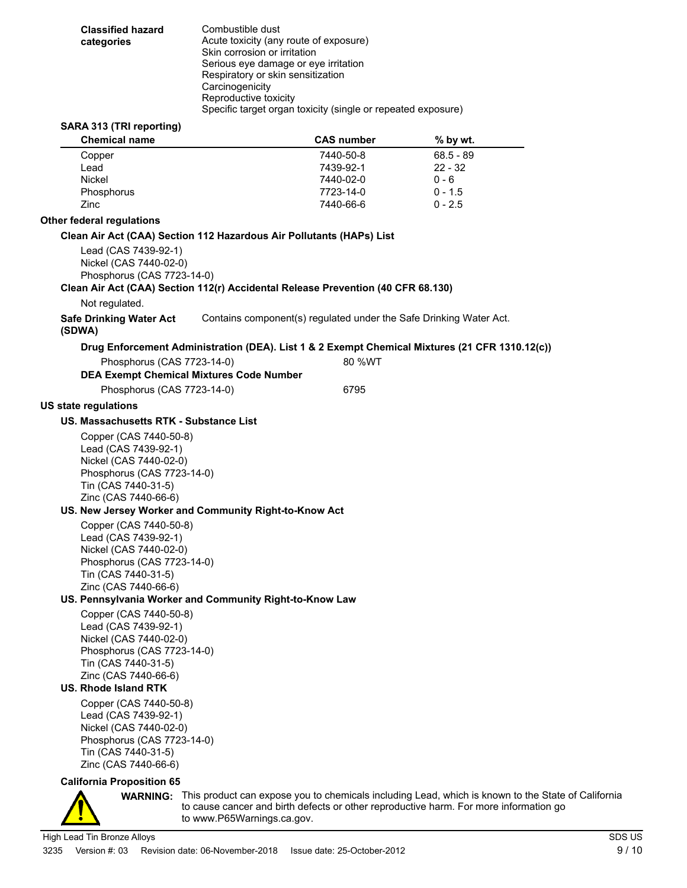| categories                  | <b>Classified hazard</b>                                                                                                                                                             | Combustible dust<br>Acute toxicity (any route of exposure)<br>Skin corrosion or irritation<br>Serious eye damage or eye irritation<br>Respiratory or skin sensitization<br>Carcinogenicity<br>Reproductive toxicity |                        |                                                                                                |  |
|-----------------------------|--------------------------------------------------------------------------------------------------------------------------------------------------------------------------------------|---------------------------------------------------------------------------------------------------------------------------------------------------------------------------------------------------------------------|------------------------|------------------------------------------------------------------------------------------------|--|
|                             |                                                                                                                                                                                      | Specific target organ toxicity (single or repeated exposure)                                                                                                                                                        |                        |                                                                                                |  |
|                             | SARA 313 (TRI reporting)<br><b>Chemical name</b>                                                                                                                                     |                                                                                                                                                                                                                     | <b>CAS number</b>      | % by wt.                                                                                       |  |
| Copper                      |                                                                                                                                                                                      |                                                                                                                                                                                                                     | 7440-50-8              | $68.5 - 89$                                                                                    |  |
| Lead                        |                                                                                                                                                                                      |                                                                                                                                                                                                                     | 7439-92-1              | $22 - 32$                                                                                      |  |
| Nickel                      |                                                                                                                                                                                      |                                                                                                                                                                                                                     | 7440-02-0              | $0 - 6$                                                                                        |  |
| Phosphorus<br>Zinc          |                                                                                                                                                                                      |                                                                                                                                                                                                                     | 7723-14-0<br>7440-66-6 | $0 - 1.5$<br>$0 - 2.5$                                                                         |  |
|                             |                                                                                                                                                                                      |                                                                                                                                                                                                                     |                        |                                                                                                |  |
| Other federal regulations   |                                                                                                                                                                                      |                                                                                                                                                                                                                     |                        |                                                                                                |  |
|                             | Lead (CAS 7439-92-1)<br>Nickel (CAS 7440-02-0)<br>Phosphorus (CAS 7723-14-0)                                                                                                         | Clean Air Act (CAA) Section 112 Hazardous Air Pollutants (HAPs) List                                                                                                                                                |                        |                                                                                                |  |
|                             |                                                                                                                                                                                      | Clean Air Act (CAA) Section 112(r) Accidental Release Prevention (40 CFR 68.130)                                                                                                                                    |                        |                                                                                                |  |
| (SDWA)                      | Not regulated.<br><b>Safe Drinking Water Act</b>                                                                                                                                     |                                                                                                                                                                                                                     |                        | Contains component(s) regulated under the Safe Drinking Water Act.                             |  |
|                             |                                                                                                                                                                                      |                                                                                                                                                                                                                     |                        | Drug Enforcement Administration (DEA). List 1 & 2 Exempt Chemical Mixtures (21 CFR 1310.12(c)) |  |
|                             | Phosphorus (CAS 7723-14-0)                                                                                                                                                           |                                                                                                                                                                                                                     | 80 %WT                 |                                                                                                |  |
|                             |                                                                                                                                                                                      | <b>DEA Exempt Chemical Mixtures Code Number</b>                                                                                                                                                                     |                        |                                                                                                |  |
|                             | Phosphorus (CAS 7723-14-0)                                                                                                                                                           |                                                                                                                                                                                                                     | 6795                   |                                                                                                |  |
| <b>US state regulations</b> |                                                                                                                                                                                      |                                                                                                                                                                                                                     |                        |                                                                                                |  |
|                             | US. Massachusetts RTK - Substance List                                                                                                                                               |                                                                                                                                                                                                                     |                        |                                                                                                |  |
|                             | Copper (CAS 7440-50-8)                                                                                                                                                               |                                                                                                                                                                                                                     |                        |                                                                                                |  |
|                             | Lead (CAS 7439-92-1)                                                                                                                                                                 |                                                                                                                                                                                                                     |                        |                                                                                                |  |
|                             | Nickel (CAS 7440-02-0)                                                                                                                                                               |                                                                                                                                                                                                                     |                        |                                                                                                |  |
|                             | Phosphorus (CAS 7723-14-0)                                                                                                                                                           |                                                                                                                                                                                                                     |                        |                                                                                                |  |
|                             | Tin (CAS 7440-31-5)                                                                                                                                                                  |                                                                                                                                                                                                                     |                        |                                                                                                |  |
|                             | Zinc (CAS 7440-66-6)                                                                                                                                                                 |                                                                                                                                                                                                                     |                        |                                                                                                |  |
|                             | Copper (CAS 7440-50-8)                                                                                                                                                               | US. New Jersey Worker and Community Right-to-Know Act                                                                                                                                                               |                        |                                                                                                |  |
|                             | Lead (CAS 7439-92-1)<br>Nickel (CAS 7440-02-0)<br>Phosphorus (CAS 7723-14-0)                                                                                                         |                                                                                                                                                                                                                     |                        |                                                                                                |  |
|                             | Tin (CAS 7440-31-5)                                                                                                                                                                  |                                                                                                                                                                                                                     |                        |                                                                                                |  |
|                             | Zinc (CAS 7440-66-6)                                                                                                                                                                 |                                                                                                                                                                                                                     |                        |                                                                                                |  |
|                             |                                                                                                                                                                                      | US. Pennsylvania Worker and Community Right-to-Know Law                                                                                                                                                             |                        |                                                                                                |  |
|                             | Copper (CAS 7440-50-8)<br>Lead (CAS 7439-92-1)<br>Nickel (CAS 7440-02-0)<br>Phosphorus (CAS 7723-14-0)<br>Tin (CAS 7440-31-5)<br>Zinc (CAS 7440-66-6)<br><b>US. Rhode Island RTK</b> |                                                                                                                                                                                                                     |                        |                                                                                                |  |
|                             | Copper (CAS 7440-50-8)<br>Lead (CAS 7439-92-1)<br>Nickel (CAS 7440-02-0)<br>$\sim$                                                                                                   |                                                                                                                                                                                                                     |                        |                                                                                                |  |

Phosphorus (CAS 7723-14-0) Tin (CAS 7440-31-5) Zinc (CAS 7440-66-6)

#### **California Proposition 65**



**WARNING:** This product can expose you to chemicals including Lead, which is known to the State of California to cause cancer and birth defects or other reproductive harm. For more information go to www.P65Warnings.ca.gov.